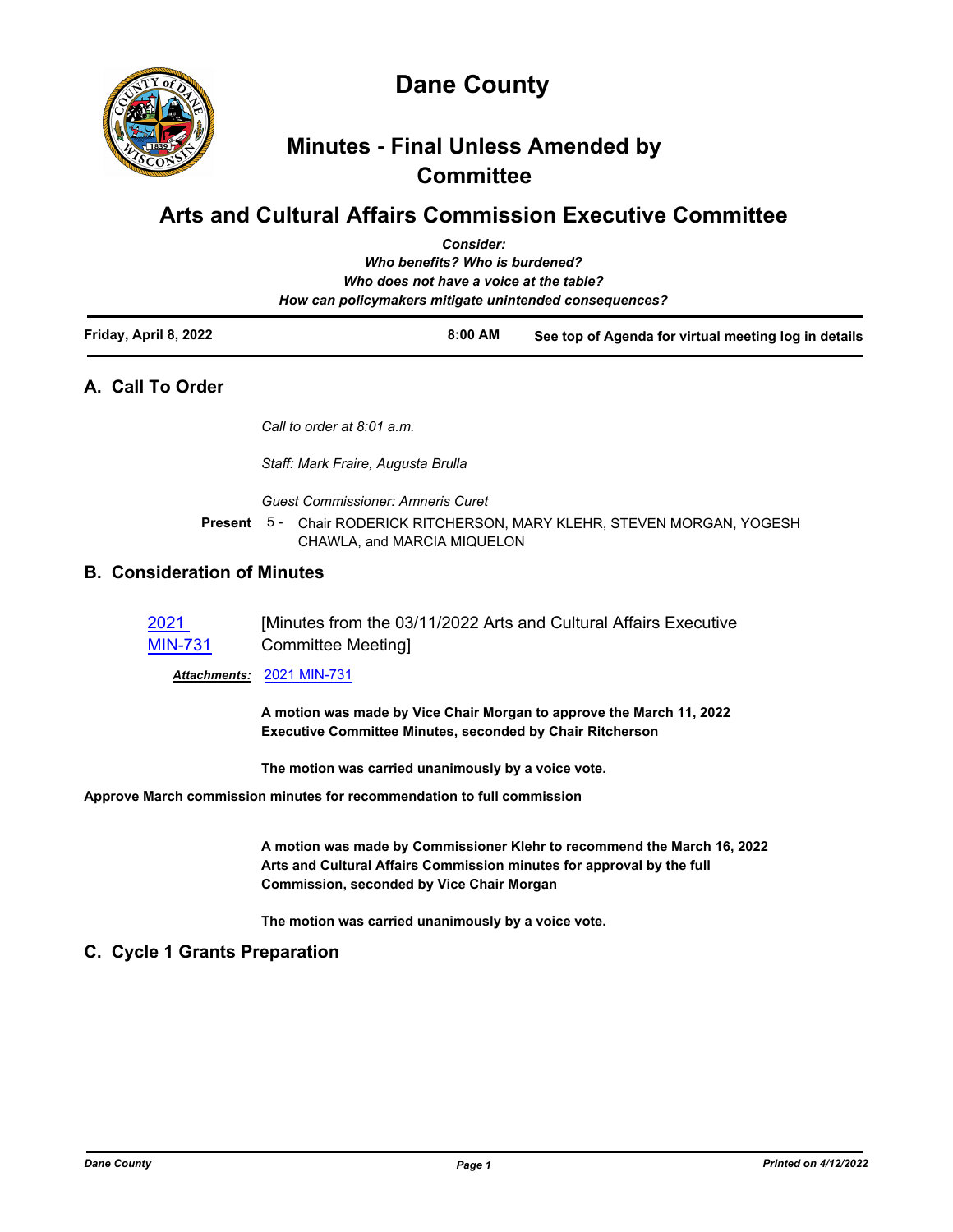

# **Minutes - Final Unless Amended by Committee**

# **Arts and Cultural Affairs Commission Executive Committee**

|                       | <b>Consider:</b><br>Who benefits? Who is burdened?<br>Who does not have a voice at the table?<br>How can policymakers mitigate unintended consequences? |                                                      |
|-----------------------|---------------------------------------------------------------------------------------------------------------------------------------------------------|------------------------------------------------------|
| Friday, April 8, 2022 | $8:00$ AM                                                                                                                                               | See top of Agenda for virtual meeting log in details |

## **A. Call To Order**

*Call to order at 8:01 a.m.*

*Staff: Mark Fraire, Augusta Brulla*

*Guest Commissioner: Amneris Curet*

Present 5 - Chair RODERICK RITCHERSON, MARY KLEHR, STEVEN MORGAN, YOGESH CHAWLA, and MARCIA MIQUELON

## **B. Consideration of Minutes**

| 2021           | [Minutes from the 03/11/2022 Arts and Cultural Affairs Executive |
|----------------|------------------------------------------------------------------|
| <b>MIN-731</b> | Committee Meeting                                                |

*Attachments:* [2021 MIN-731](http://dane.legistar.com/gateway.aspx?M=F&ID=7f8d0aef-7257-42e9-904c-97f7ce6848d8.pdf)

**A motion was made by Vice Chair Morgan to approve the March 11, 2022 Executive Committee Minutes, seconded by Chair Ritcherson**

**The motion was carried unanimously by a voice vote.**

**Approve March commission minutes for recommendation to full commission**

**A motion was made by Commissioner Klehr to recommend the March 16, 2022 Arts and Cultural Affairs Commission minutes for approval by the full Commission, seconded by Vice Chair Morgan**

**The motion was carried unanimously by a voice vote.**

## **C. Cycle 1 Grants Preparation**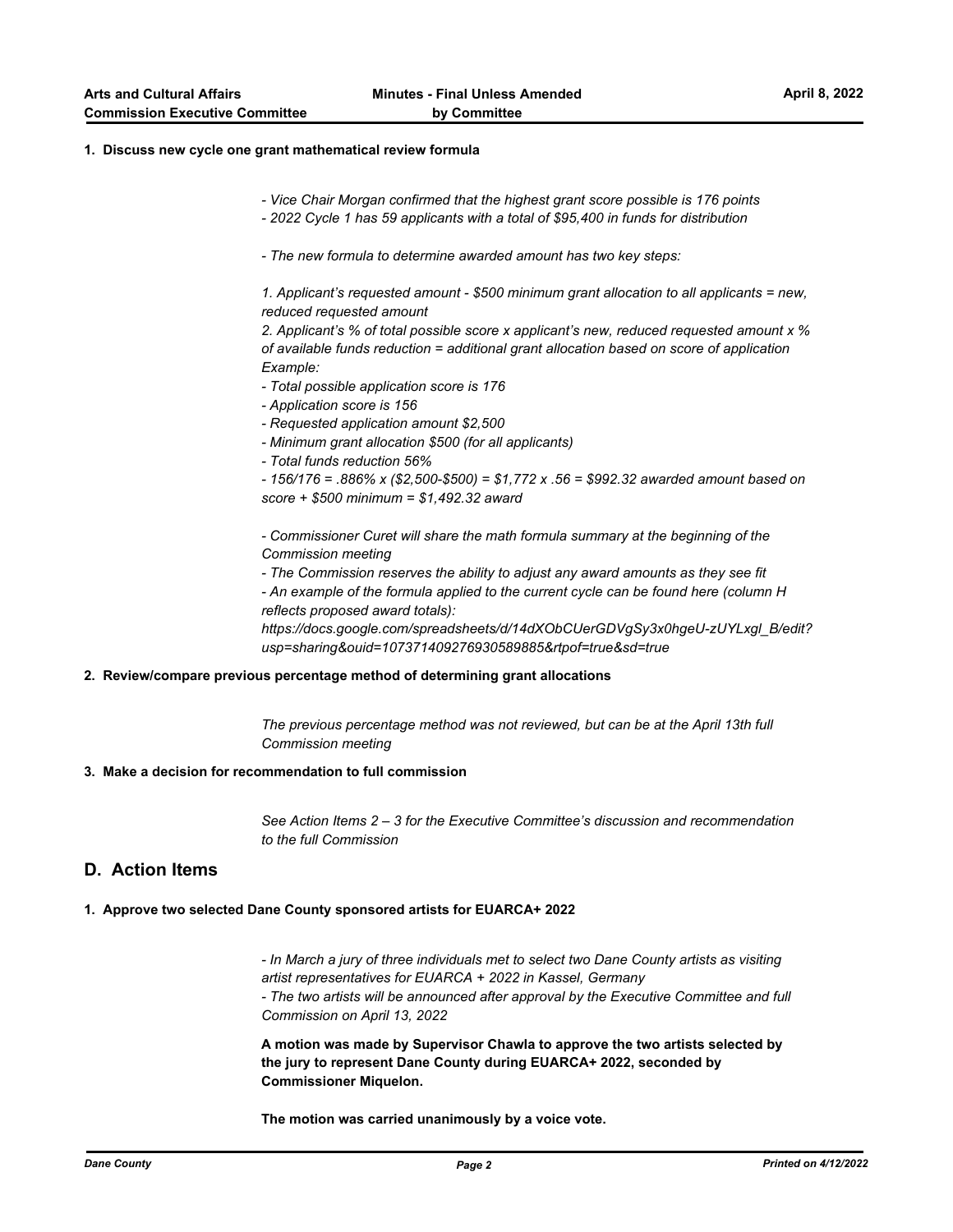#### **1. Discuss new cycle one grant mathematical review formula**

- *Vice Chair Morgan confirmed that the highest grant score possible is 176 points*
- *2022 Cycle 1 has 59 applicants with a total of \$95,400 in funds for distribution*
- *The new formula to determine awarded amount has two key steps:*

*1. Applicant's requested amount - \$500 minimum grant allocation to all applicants = new, reduced requested amount*

*2. Applicant's % of total possible score x applicant's new, reduced requested amount x % of available funds reduction = additional grant allocation based on score of application Example:*

- *Total possible application score is 176*
- *Application score is 156*
- *Requested application amount \$2,500*
- *Minimum grant allocation \$500 (for all applicants)*
- *Total funds reduction 56%*

*- 156/176 = .886% x (\$2,500-\$500) = \$1,772 x .56 = \$992.32 awarded amount based on score + \$500 minimum = \$1,492.32 award*

*- Commissioner Curet will share the math formula summary at the beginning of the Commission meeting*

*- The Commission reserves the ability to adjust any award amounts as they see fit - An example of the formula applied to the current cycle can be found here (column H reflects proposed award totals):* 

*https://docs.google.com/spreadsheets/d/14dXObCUerGDVgSy3x0hgeU-zUYLxgl\_B/edit? usp=sharing&ouid=107371409276930589885&rtpof=true&sd=true*

#### **2. Review/compare previous percentage method of determining grant allocations**

*The previous percentage method was not reviewed, but can be at the April 13th full Commission meeting*

#### **3. Make a decision for recommendation to full commission**

*See Action Items 2 – 3 for the Executive Committee's discussion and recommendation to the full Commission*

## **D. Action Items**

#### **1. Approve two selected Dane County sponsored artists for EUARCA+ 2022**

*- In March a jury of three individuals met to select two Dane County artists as visiting artist representatives for EUARCA + 2022 in Kassel, Germany - The two artists will be announced after approval by the Executive Committee and full Commission on April 13, 2022*

**A motion was made by Supervisor Chawla to approve the two artists selected by the jury to represent Dane County during EUARCA+ 2022, seconded by Commissioner Miquelon.**

**The motion was carried unanimously by a voice vote.**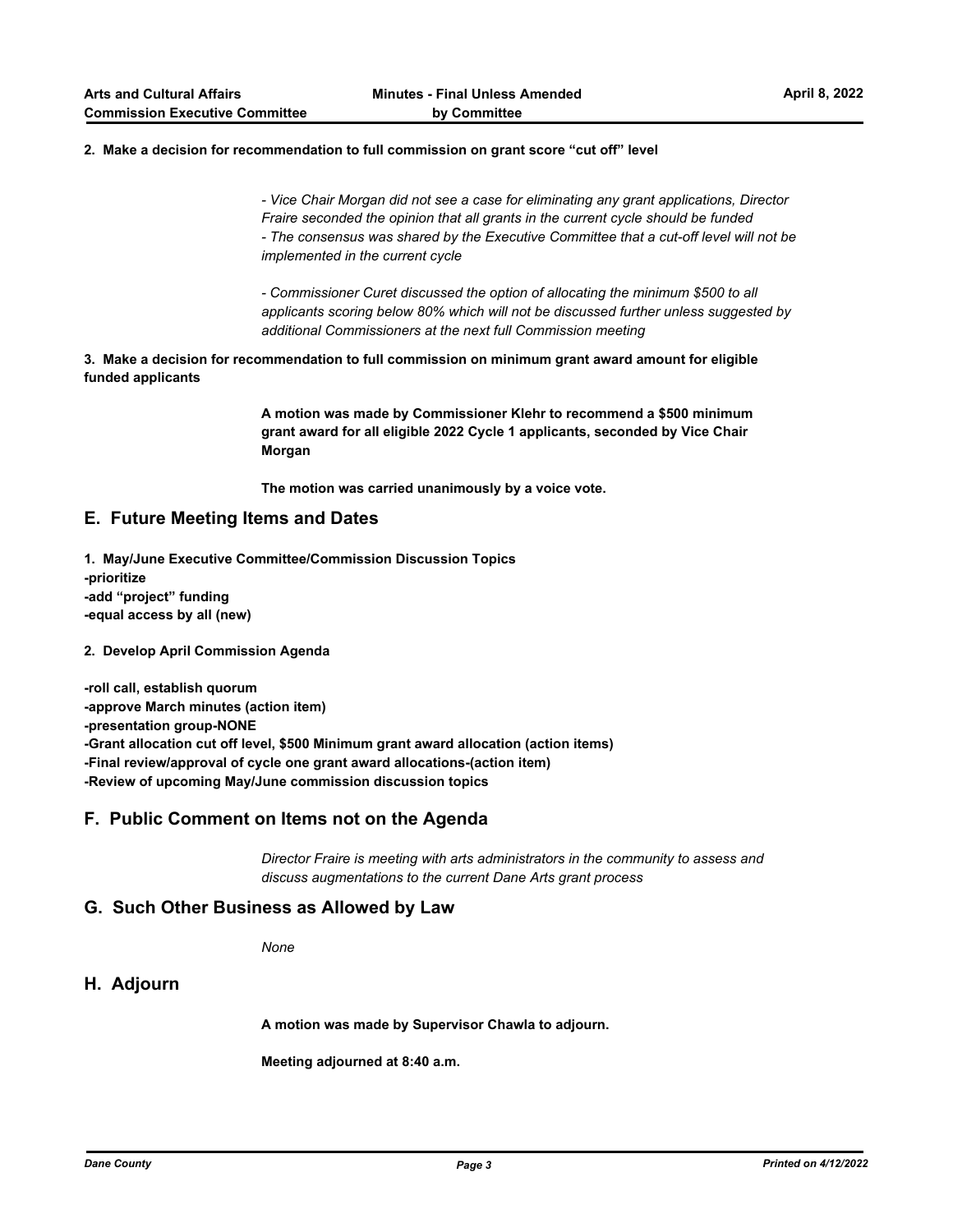#### **2. Make a decision for recommendation to full commission on grant score "cut off" level**

*- Vice Chair Morgan did not see a case for eliminating any grant applications, Director Fraire seconded the opinion that all grants in the current cycle should be funded - The consensus was shared by the Executive Committee that a cut-off level will not be implemented in the current cycle*

*- Commissioner Curet discussed the option of allocating the minimum \$500 to all applicants scoring below 80% which will not be discussed further unless suggested by additional Commissioners at the next full Commission meeting*

**3. Make a decision for recommendation to full commission on minimum grant award amount for eligible funded applicants**

> **A motion was made by Commissioner Klehr to recommend a \$500 minimum grant award for all eligible 2022 Cycle 1 applicants, seconded by Vice Chair Morgan**

**The motion was carried unanimously by a voice vote.**

## **E. Future Meeting Items and Dates**

**1. May/June Executive Committee/Commission Discussion Topics -prioritize -add "project" funding -equal access by all (new)**

#### **2. Develop April Commission Agenda**

**-roll call, establish quorum -approve March minutes (action item) -presentation group-NONE -Grant allocation cut off level, \$500 Minimum grant award allocation (action items) -Final review/approval of cycle one grant award allocations-(action item) -Review of upcoming May/June commission discussion topics**

### **F. Public Comment on Items not on the Agenda**

*Director Fraire is meeting with arts administrators in the community to assess and discuss augmentations to the current Dane Arts grant process*

## **G. Such Other Business as Allowed by Law**

*None*

### **H. Adjourn**

**A motion was made by Supervisor Chawla to adjourn.**

**Meeting adjourned at 8:40 a.m.**